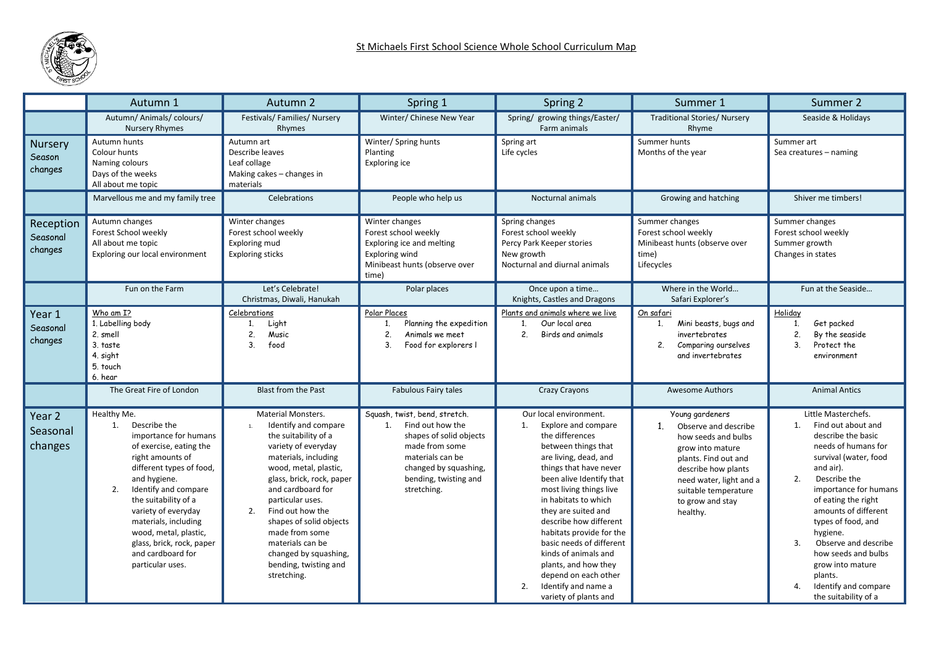

|                                          | Autumn 1                                                                                                                                                                                                                                                                                                                                                  | Autumn <sub>2</sub>                                                                                                                                                                                                                                                                                                                                                                | Spring 1                                                                                                                                                                                  | Spring 2                                                                                                                                                                                                                                                                                                                                                                                                                                                               | Summer 1                                                                                                                                                                                                                               | Summer 2                                                                                                                                                                                                                                                                                                                                                                                                                   |  |
|------------------------------------------|-----------------------------------------------------------------------------------------------------------------------------------------------------------------------------------------------------------------------------------------------------------------------------------------------------------------------------------------------------------|------------------------------------------------------------------------------------------------------------------------------------------------------------------------------------------------------------------------------------------------------------------------------------------------------------------------------------------------------------------------------------|-------------------------------------------------------------------------------------------------------------------------------------------------------------------------------------------|------------------------------------------------------------------------------------------------------------------------------------------------------------------------------------------------------------------------------------------------------------------------------------------------------------------------------------------------------------------------------------------------------------------------------------------------------------------------|----------------------------------------------------------------------------------------------------------------------------------------------------------------------------------------------------------------------------------------|----------------------------------------------------------------------------------------------------------------------------------------------------------------------------------------------------------------------------------------------------------------------------------------------------------------------------------------------------------------------------------------------------------------------------|--|
|                                          | Autumn/ Animals/ colours/<br><b>Nursery Rhymes</b>                                                                                                                                                                                                                                                                                                        | Festivals/Families/Nursery<br>Rhymes                                                                                                                                                                                                                                                                                                                                               | Winter/ Chinese New Year                                                                                                                                                                  | Spring/ growing things/Easter/<br>Farm animals                                                                                                                                                                                                                                                                                                                                                                                                                         | <b>Traditional Stories/ Nursery</b><br>Rhyme                                                                                                                                                                                           | Seaside & Holidays                                                                                                                                                                                                                                                                                                                                                                                                         |  |
| <b>Nursery</b><br>Season<br>changes      | Autumn hunts<br>Colour hunts<br>Naming colours<br>Days of the weeks<br>All about me topic                                                                                                                                                                                                                                                                 | Autumn art<br>Describe leaves<br>Leaf collage<br>Making cakes - changes in<br>materials                                                                                                                                                                                                                                                                                            | Winter/ Spring hunts<br>Planting<br>Exploring ice                                                                                                                                         | Spring art<br>Life cycles                                                                                                                                                                                                                                                                                                                                                                                                                                              | Summer hunts<br>Months of the year                                                                                                                                                                                                     | Summer art<br>Sea creatures - naming                                                                                                                                                                                                                                                                                                                                                                                       |  |
|                                          | Marvellous me and my family tree                                                                                                                                                                                                                                                                                                                          | Celebrations                                                                                                                                                                                                                                                                                                                                                                       | People who help us                                                                                                                                                                        | Nocturnal animals                                                                                                                                                                                                                                                                                                                                                                                                                                                      | Growing and hatching                                                                                                                                                                                                                   | Shiver me timbers!                                                                                                                                                                                                                                                                                                                                                                                                         |  |
| Reception<br>Seasonal<br>changes         | Autumn changes<br>Forest School weekly<br>All about me topic<br>Exploring our local environment                                                                                                                                                                                                                                                           | Winter changes<br>Forest school weekly<br>Exploring mud<br><b>Exploring sticks</b>                                                                                                                                                                                                                                                                                                 | Winter changes<br>Forest school weekly<br>Exploring ice and melting<br><b>Exploring wind</b><br>Minibeast hunts (observe over<br>time)                                                    | Spring changes<br>Forest school weekly<br>Percy Park Keeper stories<br>New growth<br>Nocturnal and diurnal animals                                                                                                                                                                                                                                                                                                                                                     | Summer changes<br>Forest school weekly<br>Minibeast hunts (observe over<br>time)<br>Lifecycles                                                                                                                                         | Summer changes<br>Forest school weekly<br>Summer growth<br>Changes in states                                                                                                                                                                                                                                                                                                                                               |  |
|                                          | Fun on the Farm                                                                                                                                                                                                                                                                                                                                           | Let's Celebrate!<br>Christmas, Diwali, Hanukah                                                                                                                                                                                                                                                                                                                                     | Polar places                                                                                                                                                                              | Once upon a time<br>Knights, Castles and Dragons                                                                                                                                                                                                                                                                                                                                                                                                                       | Where in the World<br>Safari Explorer's                                                                                                                                                                                                | Fun at the Seaside                                                                                                                                                                                                                                                                                                                                                                                                         |  |
| Year 1<br>Seasonal<br>changes            | Who am I?<br>1. Labelling body<br>2. smell<br>3. taste<br>4. sight<br>5. touch<br>6. hear                                                                                                                                                                                                                                                                 | Celebrations<br>Light<br>1.<br>2.<br>Music<br>3 <sub>1</sub><br>food                                                                                                                                                                                                                                                                                                               | Polar Places<br>Planning the expedition<br>1.<br>2.<br>Animals we meet<br>3 <sub>1</sub><br>Food for explorers I                                                                          | Plants and animals where we live<br>Our local area<br>1.<br>2 <sup>2</sup><br>Birds and animals                                                                                                                                                                                                                                                                                                                                                                        | On safari<br>Mini beasts, bugs and<br>1.<br>invertebrates<br>2.<br>Comparing ourselves<br>and invertebrates                                                                                                                            | Holiday<br>Get packed<br>1.<br>2.<br>By the seaside<br>3 <sub>1</sub><br>Protect the<br>environment                                                                                                                                                                                                                                                                                                                        |  |
|                                          | The Great Fire of London                                                                                                                                                                                                                                                                                                                                  | <b>Blast from the Past</b>                                                                                                                                                                                                                                                                                                                                                         | Fabulous Fairy tales                                                                                                                                                                      | <b>Crazy Crayons</b>                                                                                                                                                                                                                                                                                                                                                                                                                                                   | <b>Awesome Authors</b>                                                                                                                                                                                                                 | <b>Animal Antics</b>                                                                                                                                                                                                                                                                                                                                                                                                       |  |
| Year <sub>2</sub><br>Seasonal<br>changes | Healthy Me.<br>Describe the<br>1.<br>importance for humans<br>of exercise, eating the<br>right amounts of<br>different types of food,<br>and hygiene.<br>2.<br>Identify and compare<br>the suitability of a<br>variety of everyday<br>materials, including<br>wood, metal, plastic,<br>glass, brick, rock, paper<br>and cardboard for<br>particular uses. | Material Monsters.<br>Identify and compare<br>1.<br>the suitability of a<br>variety of everyday<br>materials, including<br>wood, metal, plastic,<br>glass, brick, rock, paper<br>and cardboard for<br>particular uses.<br>2.<br>Find out how the<br>shapes of solid objects<br>made from some<br>materials can be<br>changed by squashing,<br>bending, twisting and<br>stretching. | Squash, twist, bend, stretch.<br>Find out how the<br>1.<br>shapes of solid objects<br>made from some<br>materials can be<br>changed by squashing,<br>bending, twisting and<br>stretching. | Our local environment.<br>Explore and compare<br>1.<br>the differences<br>between things that<br>are living, dead, and<br>things that have never<br>been alive Identify that<br>most living things live<br>in habitats to which<br>they are suited and<br>describe how different<br>habitats provide for the<br>basic needs of different<br>kinds of animals and<br>plants, and how they<br>depend on each other<br>Identify and name a<br>2.<br>variety of plants and | Young gardeners<br>1 <sup>1</sup><br>Observe and describe<br>how seeds and bulbs<br>grow into mature<br>plants. Find out and<br>describe how plants<br>need water, light and a<br>suitable temperature<br>to grow and stay<br>healthy. | Little Masterchefs.<br>Find out about and<br>1.<br>describe the basic<br>needs of humans for<br>survival (water, food<br>and air).<br>Describe the<br>2.<br>importance for humans<br>of eating the right<br>amounts of different<br>types of food, and<br>hygiene.<br>$\overline{3}$ .<br>Observe and describe<br>how seeds and bulbs<br>grow into mature<br>plants.<br>Identify and compare<br>4.<br>the suitability of a |  |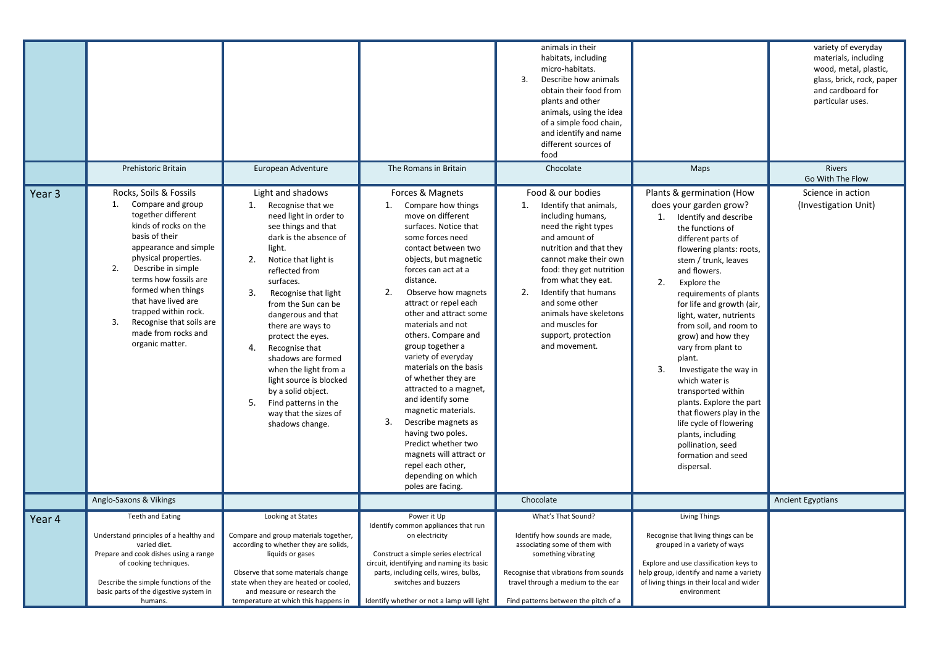|        | Prehistoric Britain                                                                                                                                                                                                                                                                                                                                                    | European Adventure                                                                                                                                                                                                                                                                                                                                                                                                                                                                                                                                                                                                                                                                                                                                                                                                                                                                                                                                                                                                                                                                                                                                                                            | The Romans in Britain                                                                                                                                                                                                                                                   | animals in their<br>habitats, including<br>micro-habitats.<br>3.<br>Describe how animals<br>obtain their food from<br>plants and other<br>animals, using the idea<br>of a simple food chain,<br>and identify and name<br>different sources of<br>food<br>Chocolate                                                                                          | Maps                                                                                                                                                                                                                                                                                                                                                                                                                                                                                                                                                                                                                          | variety of everyday<br>materials, including<br>wood, metal, plastic,<br>glass, brick, rock, paper<br>and cardboard for<br>particular uses.<br>Rivers<br>Go With The Flow |
|--------|------------------------------------------------------------------------------------------------------------------------------------------------------------------------------------------------------------------------------------------------------------------------------------------------------------------------------------------------------------------------|-----------------------------------------------------------------------------------------------------------------------------------------------------------------------------------------------------------------------------------------------------------------------------------------------------------------------------------------------------------------------------------------------------------------------------------------------------------------------------------------------------------------------------------------------------------------------------------------------------------------------------------------------------------------------------------------------------------------------------------------------------------------------------------------------------------------------------------------------------------------------------------------------------------------------------------------------------------------------------------------------------------------------------------------------------------------------------------------------------------------------------------------------------------------------------------------------|-------------------------------------------------------------------------------------------------------------------------------------------------------------------------------------------------------------------------------------------------------------------------|-------------------------------------------------------------------------------------------------------------------------------------------------------------------------------------------------------------------------------------------------------------------------------------------------------------------------------------------------------------|-------------------------------------------------------------------------------------------------------------------------------------------------------------------------------------------------------------------------------------------------------------------------------------------------------------------------------------------------------------------------------------------------------------------------------------------------------------------------------------------------------------------------------------------------------------------------------------------------------------------------------|--------------------------------------------------------------------------------------------------------------------------------------------------------------------------|
| Year 3 | Rocks, Soils & Fossils<br>1. Compare and group<br>together different<br>kinds of rocks on the<br>basis of their<br>appearance and simple<br>physical properties.<br>Describe in simple<br>2.<br>terms how fossils are<br>formed when things<br>that have lived are<br>trapped within rock.<br>3.<br>Recognise that soils are<br>made from rocks and<br>organic matter. | Light and shadows<br>Forces & Magnets<br>1.<br>Recognise that we<br>1.<br>Compare how things<br>move on different<br>need light in order to<br>see things and that<br>surfaces. Notice that<br>dark is the absence of<br>some forces need<br>light.<br>contact between two<br>objects, but magnetic<br>2.<br>Notice that light is<br>forces can act at a<br>reflected from<br>distance.<br>surfaces.<br>2.<br>Observe how magnets<br>3.<br>Recognise that light<br>attract or repel each<br>from the Sun can be<br>other and attract some<br>dangerous and that<br>materials and not<br>there are ways to<br>others. Compare and<br>protect the eyes.<br>group together a<br>4.<br>Recognise that<br>variety of everyday<br>shadows are formed<br>materials on the basis<br>when the light from a<br>of whether they are<br>light source is blocked<br>attracted to a magnet,<br>by a solid object.<br>and identify some<br>5.<br>Find patterns in the<br>magnetic materials.<br>way that the sizes of<br>3.<br>Describe magnets as<br>shadows change.<br>having two poles.<br>Predict whether two<br>magnets will attract or<br>repel each other,<br>depending on which<br>poles are facing. |                                                                                                                                                                                                                                                                         | Food & our bodies<br>1.<br>Identify that animals,<br>including humans,<br>need the right types<br>and amount of<br>nutrition and that they<br>cannot make their own<br>food: they get nutrition<br>from what they eat.<br>2.<br>Identify that humans<br>and some other<br>animals have skeletons<br>and muscles for<br>support, protection<br>and movement. | Plants & germination (How<br>does your garden grow?<br>1. Identify and describe<br>the functions of<br>different parts of<br>flowering plants: roots,<br>stem / trunk, leaves<br>and flowers.<br>2.<br>Explore the<br>requirements of plants<br>for life and growth (air,<br>light, water, nutrients<br>from soil, and room to<br>grow) and how they<br>vary from plant to<br>plant.<br>3.<br>Investigate the way in<br>which water is<br>transported within<br>plants. Explore the part<br>that flowers play in the<br>life cycle of flowering<br>plants, including<br>pollination, seed<br>formation and seed<br>dispersal. | Science in action<br>(Investigation Unit)                                                                                                                                |
|        | Anglo-Saxons & Vikings                                                                                                                                                                                                                                                                                                                                                 |                                                                                                                                                                                                                                                                                                                                                                                                                                                                                                                                                                                                                                                                                                                                                                                                                                                                                                                                                                                                                                                                                                                                                                                               |                                                                                                                                                                                                                                                                         | Chocolate                                                                                                                                                                                                                                                                                                                                                   |                                                                                                                                                                                                                                                                                                                                                                                                                                                                                                                                                                                                                               | <b>Ancient Egyptians</b>                                                                                                                                                 |
| Year 4 | <b>Teeth and Eating</b><br>Understand principles of a healthy and<br>varied diet.<br>Prepare and cook dishes using a range<br>of cooking techniques.<br>Describe the simple functions of the<br>basic parts of the digestive system in<br>humans.                                                                                                                      | Looking at States<br>Compare and group materials together,<br>according to whether they are solids,<br>liquids or gases<br>Observe that some materials change<br>state when they are heated or cooled,<br>and measure or research the<br>temperature at which this happens in                                                                                                                                                                                                                                                                                                                                                                                                                                                                                                                                                                                                                                                                                                                                                                                                                                                                                                                 | Power it Up<br>Identify common appliances that run<br>on electricity<br>Construct a simple series electrical<br>circuit, identifying and naming its basic<br>parts, including cells, wires, bulbs,<br>switches and buzzers<br>Identify whether or not a lamp will light | What's That Sound?<br>Identify how sounds are made,<br>associating some of them with<br>something vibrating<br>Recognise that vibrations from sounds<br>travel through a medium to the ear<br>Find patterns between the pitch of a                                                                                                                          | <b>Living Things</b><br>Recognise that living things can be<br>grouped in a variety of ways<br>Explore and use classification keys to<br>help group, identify and name a variety<br>of living things in their local and wider<br>environment                                                                                                                                                                                                                                                                                                                                                                                  |                                                                                                                                                                          |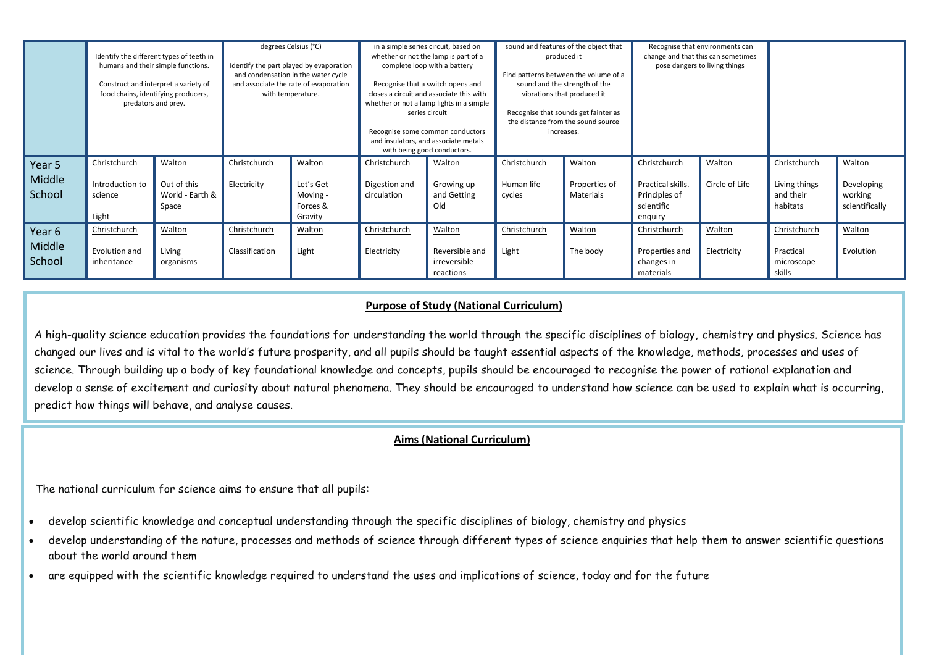|                            | humans and their simple functions.<br>Construct and interpret a variety of<br>food chains, identifying producers,<br>predators and prey. | Identify the different types of teeth in          | degrees Celsius (°C)<br>and condensation in the water cycle<br>with temperature. | Identify the part played by evaporation<br>and associate the rate of evaporation | in a simple series circuit, based on<br>whether or not the lamp is part of a<br>complete loop with a battery<br>Recognise that a switch opens and<br>closes a circuit and associate this with<br>whether or not a lamp lights in a simple<br>series circuit<br>Recognise some common conductors<br>and insulators, and associate metals<br>with being good conductors. |                                                       | sound and features of the object that<br>produced it<br>Find patterns between the volume of a<br>sound and the strength of the<br>vibrations that produced it<br>Recognise that sounds get fainter as<br>the distance from the sound source<br>increases. |                                      | Recognise that environments can<br>change and that this can sometimes<br>pose dangers to living things |                          |                                                        |                                                   |
|----------------------------|------------------------------------------------------------------------------------------------------------------------------------------|---------------------------------------------------|----------------------------------------------------------------------------------|----------------------------------------------------------------------------------|------------------------------------------------------------------------------------------------------------------------------------------------------------------------------------------------------------------------------------------------------------------------------------------------------------------------------------------------------------------------|-------------------------------------------------------|-----------------------------------------------------------------------------------------------------------------------------------------------------------------------------------------------------------------------------------------------------------|--------------------------------------|--------------------------------------------------------------------------------------------------------|--------------------------|--------------------------------------------------------|---------------------------------------------------|
| Year 5<br>Middle<br>School | Christchurch<br>Introduction to<br>science<br>Light                                                                                      | Walton<br>Out of this<br>World - Earth &<br>Space | Christchurch<br>Electricity                                                      | Walton<br>Let's Get<br>Moving -<br>Forces &<br>Gravity                           | Christchurch<br>Digestion and<br>circulation                                                                                                                                                                                                                                                                                                                           | Walton<br>Growing up<br>and Getting<br>Old            | Christchurch<br>Human life<br>cycles                                                                                                                                                                                                                      | Walton<br>Properties of<br>Materials | Christchurch<br>Practical skills.<br>Principles of<br>scientific<br>enquiry                            | Walton<br>Circle of Life | Christchurch<br>Living things<br>and their<br>habitats | Walton<br>Developing<br>working<br>scientifically |
| Year 6<br>Middle<br>School | Christchurch<br>Evolution and<br>inheritance                                                                                             | Walton<br>Living<br>organisms                     | Christchurch<br>Classification                                                   | Walton<br>Light                                                                  | Christchurch<br>Electricity                                                                                                                                                                                                                                                                                                                                            | Walton<br>Reversible and<br>irreversible<br>reactions | Christchurch<br>Light                                                                                                                                                                                                                                     | Walton<br>The body                   | Christchurch<br>Properties and<br>changes in<br>materials                                              | Walton<br>Electricity    | Christchurch<br>Practical<br>microscope<br>skills      | Walton<br>Evolution                               |

## **Purpose of Study (National Curriculum)**

A high-quality science education provides the foundations for understanding the world through the specific disciplines of biology, chemistry and physics. Science has changed our lives and is vital to the world's future prosperity, and all pupils should be taught essential aspects of the knowledge, methods, processes and uses of science. Through building up a body of key foundational knowledge and concepts, pupils should be encouraged to recognise the power of rational explanation and develop a sense of excitement and curiosity about natural phenomena. They should be encouraged to understand how science can be used to explain what is occurring, predict how things will behave, and analyse causes.

# **Aims (National Curriculum)**

The national curriculum for science aims to ensure that all pupils:

- develop scientific knowledge and conceptual understanding through the specific disciplines of biology, chemistry and physics
- develop understanding of the nature, processes and methods of science through different types of science enquiries that help them to answer scientific questions about the world around them
- are equipped with the scientific knowledge required to understand the uses and implications of science, today and for the future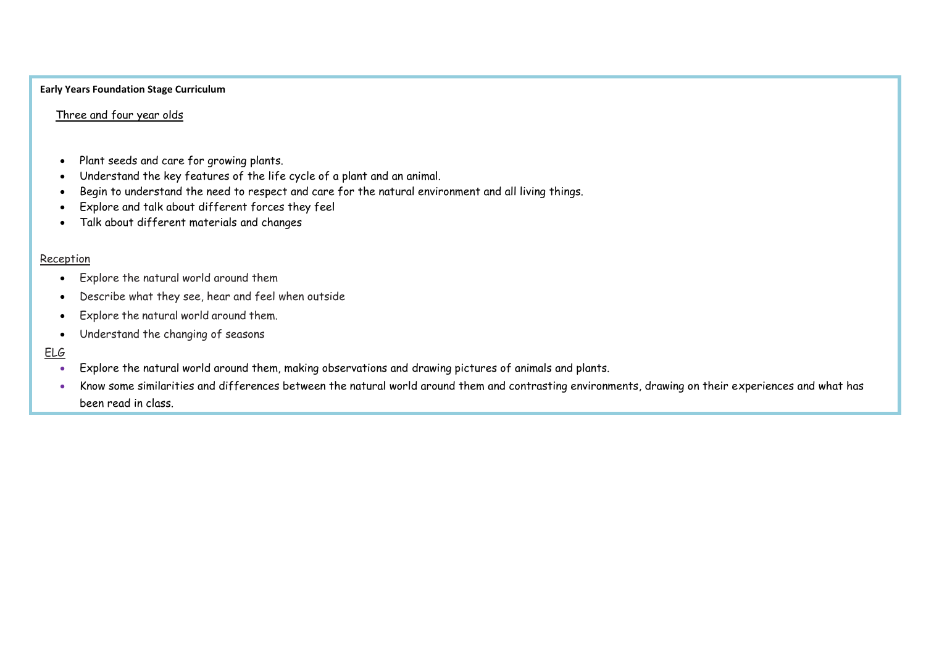### **Early Years Foundation Stage Curriculum**

## Three and four year olds

- Plant seeds and care for growing plants.
- Understand the key features of the life cycle of a plant and an animal.
- Begin to understand the need to respect and care for the natural environment and all living things.
- Explore and talk about different forces they feel
- Talk about different materials and changes

### Reception

- Explore the natural world around them
- Describe what they see, hear and feel when outside
- Explore the natural world around them.
- Understand the changing of seasons

# ELG

- Explore the natural world around them, making observations and drawing pictures of animals and plants.
- Know some similarities and differences between the natural world around them and contrasting environments, drawing on their experiences and what has been read in class.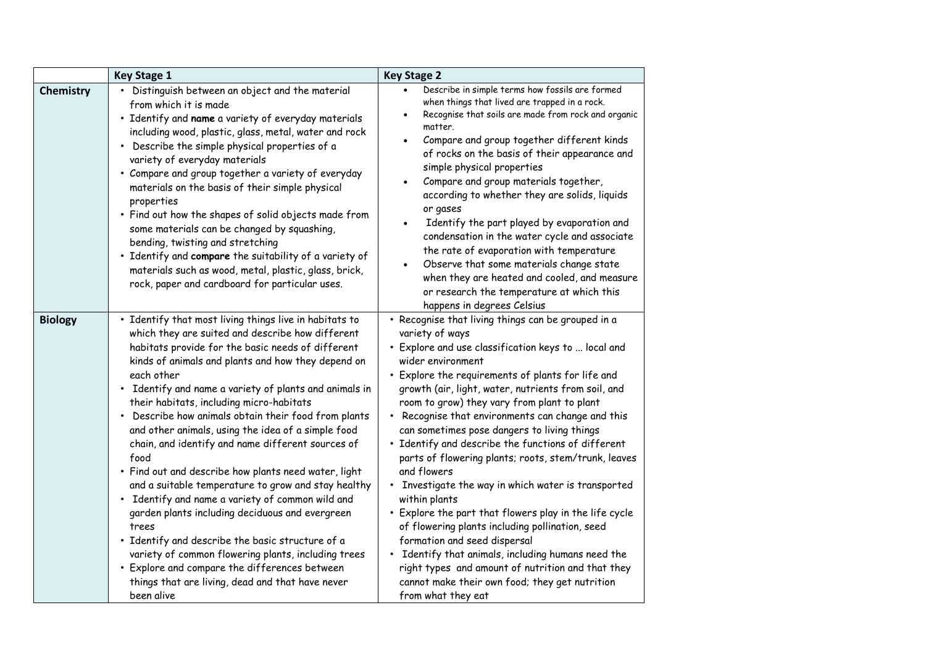|                | <b>Key Stage 1</b>                                                                                                                                                                                                                                                                                                                                                                                                                                                                                                                                                                                                                                                                                                                                                                                                                                                                                                                                                                | <b>Key Stage 2</b>                                                                                                                                                                                                                                                                                                                                                                                                                                                                                                                                                                                                                                                                                                                                                                                                                                                                                                                              |
|----------------|-----------------------------------------------------------------------------------------------------------------------------------------------------------------------------------------------------------------------------------------------------------------------------------------------------------------------------------------------------------------------------------------------------------------------------------------------------------------------------------------------------------------------------------------------------------------------------------------------------------------------------------------------------------------------------------------------------------------------------------------------------------------------------------------------------------------------------------------------------------------------------------------------------------------------------------------------------------------------------------|-------------------------------------------------------------------------------------------------------------------------------------------------------------------------------------------------------------------------------------------------------------------------------------------------------------------------------------------------------------------------------------------------------------------------------------------------------------------------------------------------------------------------------------------------------------------------------------------------------------------------------------------------------------------------------------------------------------------------------------------------------------------------------------------------------------------------------------------------------------------------------------------------------------------------------------------------|
| Chemistry      | • Distinguish between an object and the material<br>from which it is made<br>· Identify and name a variety of everyday materials<br>including wood, plastic, glass, metal, water and rock<br>• Describe the simple physical properties of a<br>variety of everyday materials<br>• Compare and group together a variety of everyday<br>materials on the basis of their simple physical<br>properties<br>. Find out how the shapes of solid objects made from<br>some materials can be changed by squashing,<br>bending, twisting and stretching<br>. Identify and compare the suitability of a variety of<br>materials such as wood, metal, plastic, glass, brick,<br>rock, paper and cardboard for particular uses.                                                                                                                                                                                                                                                               | Describe in simple terms how fossils are formed<br>when things that lived are trapped in a rock.<br>Recognise that soils are made from rock and organic<br>matter.<br>Compare and group together different kinds<br>$\bullet$<br>of rocks on the basis of their appearance and<br>simple physical properties<br>Compare and group materials together,<br>according to whether they are solids, liquids<br>or gases<br>Identify the part played by evaporation and<br>condensation in the water cycle and associate<br>the rate of evaporation with temperature<br>Observe that some materials change state<br>$\bullet$<br>when they are heated and cooled, and measure<br>or research the temperature at which this<br>happens in degrees Celsius                                                                                                                                                                                              |
| <b>Biology</b> | • Identify that most living things live in habitats to<br>which they are suited and describe how different<br>habitats provide for the basic needs of different<br>kinds of animals and plants and how they depend on<br>each other<br>• Identify and name a variety of plants and animals in<br>their habitats, including micro-habitats<br>• Describe how animals obtain their food from plants<br>and other animals, using the idea of a simple food<br>chain, and identify and name different sources of<br>food<br>· Find out and describe how plants need water, light<br>and a suitable temperature to grow and stay healthy<br>• Identify and name a variety of common wild and<br>garden plants including deciduous and evergreen<br>trees<br>. Identify and describe the basic structure of a<br>variety of common flowering plants, including trees<br>• Explore and compare the differences between<br>things that are living, dead and that have never<br>been alive | • Recognise that living things can be grouped in a<br>variety of ways<br>· Explore and use classification keys to  local and<br>wider environment<br>• Explore the requirements of plants for life and<br>growth (air, light, water, nutrients from soil, and<br>room to grow) they vary from plant to plant<br>Recognise that environments can change and this<br>can sometimes pose dangers to living things<br>• Identify and describe the functions of different<br>parts of flowering plants; roots, stem/trunk, leaves<br>and flowers<br>Investigate the way in which water is transported<br>within plants<br>• Explore the part that flowers play in the life cycle<br>of flowering plants including pollination, seed<br>formation and seed dispersal<br>Identify that animals, including humans need the<br>right types and amount of nutrition and that they<br>cannot make their own food; they get nutrition<br>from what they eat |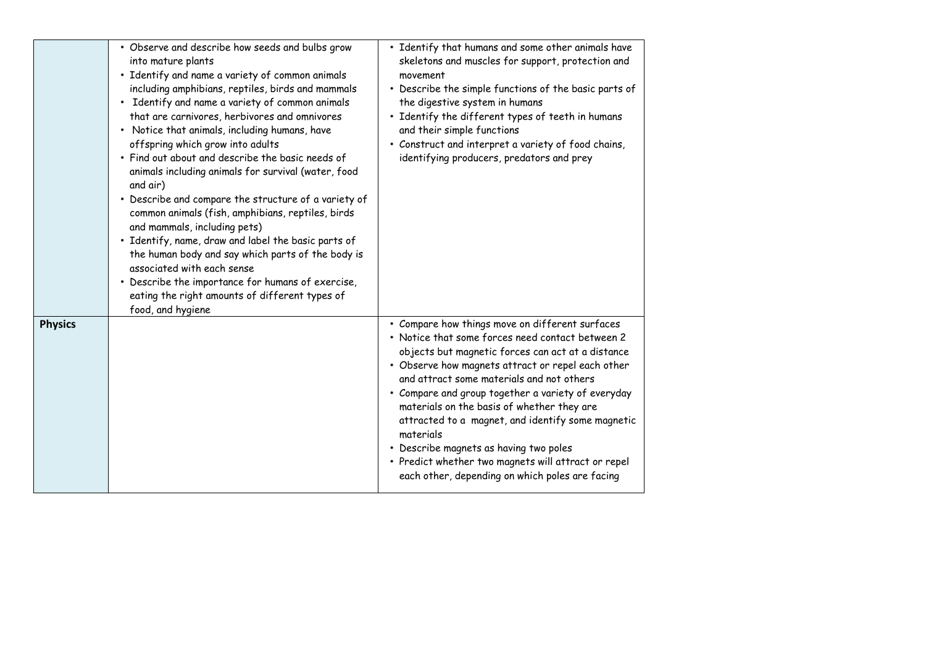|                | · Observe and describe how seeds and bulbs grow<br>into mature plants<br>· Identify and name a variety of common animals<br>including amphibians, reptiles, birds and mammals<br>• Identify and name a variety of common animals<br>that are carnivores, herbivores and omnivores<br>• Notice that animals, including humans, have<br>offspring which grow into adults<br>• Find out about and describe the basic needs of<br>animals including animals for survival (water, food<br>and air)<br>• Describe and compare the structure of a variety of<br>common animals (fish, amphibians, reptiles, birds<br>and mammals, including pets)<br>• Identify, name, draw and label the basic parts of<br>the human body and say which parts of the body is<br>associated with each sense<br>• Describe the importance for humans of exercise,<br>eating the right amounts of different types of<br>food, and hygiene | • Identify that humans and some other animals have<br>skeletons and muscles for support, protection and<br>movement<br>• Describe the simple functions of the basic parts of<br>the digestive system in humans<br>• Identify the different types of teeth in humans<br>and their simple functions<br>• Construct and interpret a variety of food chains,<br>identifying producers, predators and prey                                                                                                                                                                                |
|----------------|------------------------------------------------------------------------------------------------------------------------------------------------------------------------------------------------------------------------------------------------------------------------------------------------------------------------------------------------------------------------------------------------------------------------------------------------------------------------------------------------------------------------------------------------------------------------------------------------------------------------------------------------------------------------------------------------------------------------------------------------------------------------------------------------------------------------------------------------------------------------------------------------------------------|--------------------------------------------------------------------------------------------------------------------------------------------------------------------------------------------------------------------------------------------------------------------------------------------------------------------------------------------------------------------------------------------------------------------------------------------------------------------------------------------------------------------------------------------------------------------------------------|
| <b>Physics</b> |                                                                                                                                                                                                                                                                                                                                                                                                                                                                                                                                                                                                                                                                                                                                                                                                                                                                                                                  | • Compare how things move on different surfaces<br>• Notice that some forces need contact between 2<br>objects but magnetic forces can act at a distance<br>• Observe how magnets attract or repel each other<br>and attract some materials and not others<br>• Compare and group together a variety of everyday<br>materials on the basis of whether they are<br>attracted to a magnet, and identify some magnetic<br>materials<br>• Describe magnets as having two poles<br>• Predict whether two magnets will attract or repel<br>each other, depending on which poles are facing |